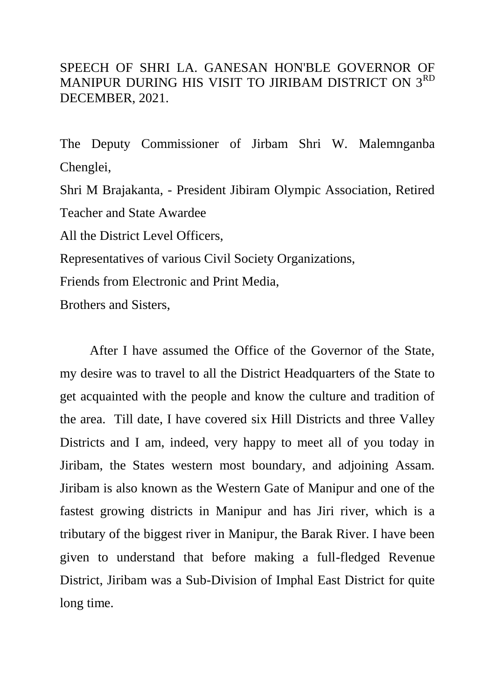## SPEECH OF SHRI LA. GANESAN HON'BLE GOVERNOR OF MANIPUR DURING HIS VISIT TO JIRIBAM DISTRICT ON 3RD DECEMBER, 2021.

The Deputy Commissioner of Jirbam Shri W. Malemnganba Chenglei,

Shri M Brajakanta, - President Jibiram Olympic Association, Retired Teacher and State Awardee

All the District Level Officers,

Representatives of various Civil Society Organizations,

Friends from Electronic and Print Media,

Brothers and Sisters,

After I have assumed the Office of the Governor of the State, my desire was to travel to all the District Headquarters of the State to get acquainted with the people and know the culture and tradition of the area. Till date, I have covered six Hill Districts and three Valley Districts and I am, indeed, very happy to meet all of you today in Jiribam, the States western most boundary, and adjoining Assam. Jiribam is also known as the Western Gate of Manipur and one of the fastest growing districts in Manipur and has Jiri river, which is a tributary of the biggest river in Manipur, the Barak River. I have been given to understand that before making a full-fledged Revenue District, Jiribam was a Sub-Division of Imphal East District for quite long time.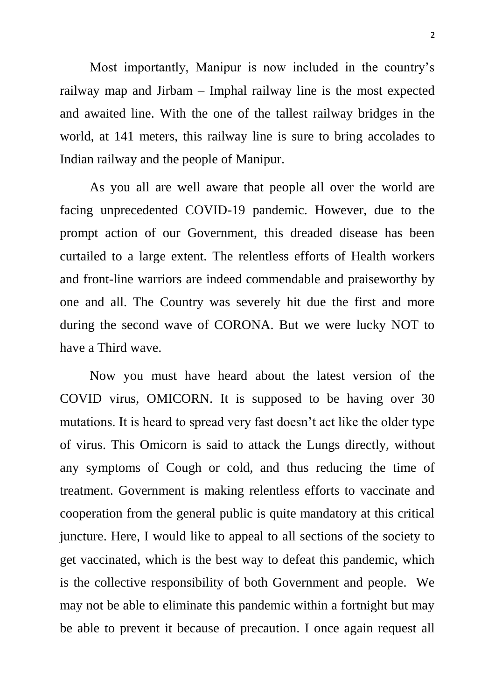Most importantly, Manipur is now included in the country's railway map and Jirbam – Imphal railway line is the most expected and awaited line. With the one of the tallest railway bridges in the world, at 141 meters, this railway line is sure to bring accolades to Indian railway and the people of Manipur.

As you all are well aware that people all over the world are facing unprecedented COVID-19 pandemic. However, due to the prompt action of our Government, this dreaded disease has been curtailed to a large extent. The relentless efforts of Health workers and front-line warriors are indeed commendable and praiseworthy by one and all. The Country was severely hit due the first and more during the second wave of CORONA. But we were lucky NOT to have a Third wave.

Now you must have heard about the latest version of the COVID virus, OMICORN. It is supposed to be having over 30 mutations. It is heard to spread very fast doesn't act like the older type of virus. This Omicorn is said to attack the Lungs directly, without any symptoms of Cough or cold, and thus reducing the time of treatment. Government is making relentless efforts to vaccinate and cooperation from the general public is quite mandatory at this critical juncture. Here, I would like to appeal to all sections of the society to get vaccinated, which is the best way to defeat this pandemic, which is the collective responsibility of both Government and people. We may not be able to eliminate this pandemic within a fortnight but may be able to prevent it because of precaution. I once again request all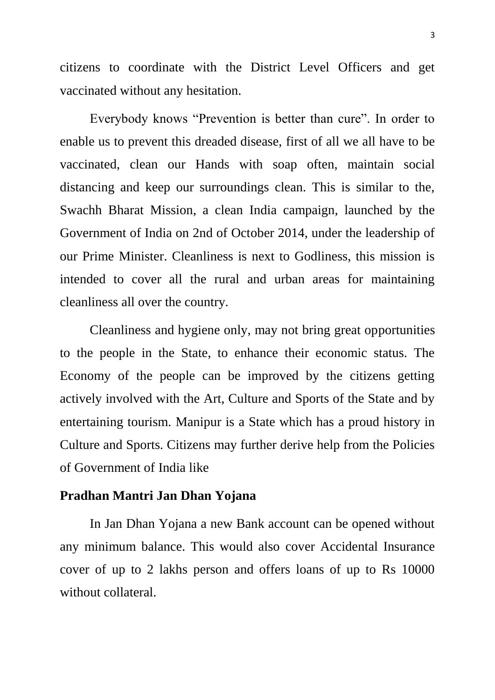citizens to coordinate with the District Level Officers and get vaccinated without any hesitation.

Everybody knows "Prevention is better than cure". In order to enable us to prevent this dreaded disease, first of all we all have to be vaccinated, clean our Hands with soap often, maintain social distancing and keep our surroundings clean. This is similar to the, Swachh Bharat Mission, a clean India campaign, launched by the Government of India on 2nd of October 2014, under the leadership of our Prime Minister. Cleanliness is next to Godliness, this mission is intended to cover all the rural and urban areas for maintaining cleanliness all over the country.

Cleanliness and hygiene only, may not bring great opportunities to the people in the State, to enhance their economic status. The Economy of the people can be improved by the citizens getting actively involved with the Art, Culture and Sports of the State and by entertaining tourism. Manipur is a State which has a proud history in Culture and Sports. Citizens may further derive help from the Policies of Government of India like

## **Pradhan Mantri Jan Dhan Yojana**

In Jan Dhan Yojana a new Bank account can be opened without any minimum balance. This would also cover Accidental Insurance cover of up to 2 lakhs person and offers loans of up to Rs 10000 without collateral.